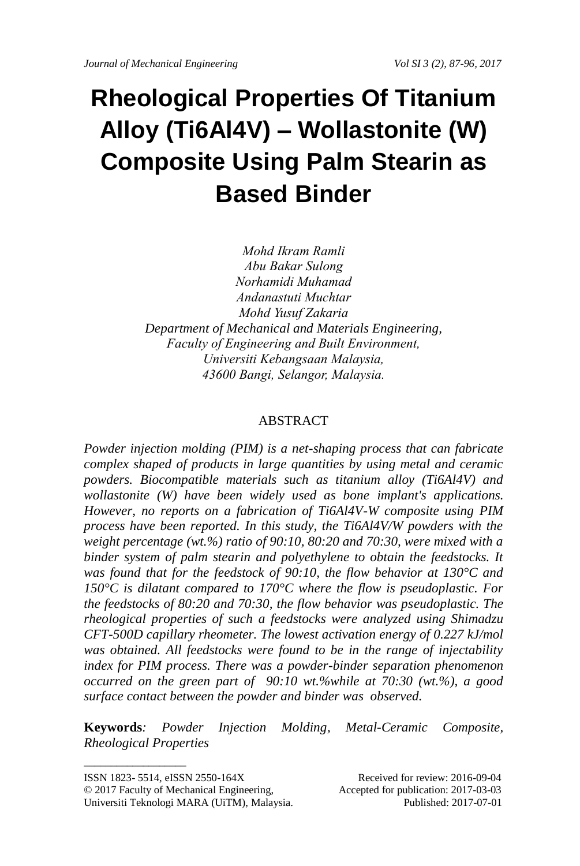# **Rheological Properties Of Titanium Alloy (Ti6Al4V) – Wollastonite (W) Composite Using Palm Stearin as Based Binder**

*Mohd Ikram Ramli Abu Bakar Sulong Norhamidi Muhamad Andanastuti Muchtar Mohd Yusuf Zakaria Department of Mechanical and Materials Engineering, Faculty of Engineering and Built Environment, Universiti Kebangsaan Malaysia, 43600 Bangi, Selangor, Malaysia.*

#### ABSTRACT

*Powder injection molding (PIM) is a net-shaping process that can fabricate complex shaped of products in large quantities by using metal and ceramic powders. Biocompatible materials such as titanium alloy (Ti6Al4V) and wollastonite (W) have been widely used as bone implant's applications. However, no reports on a fabrication of Ti6Al4V-W composite using PIM process have been reported. In this study, the Ti6Al4V/W powders with the weight percentage (wt.%) ratio of 90:10, 80:20 and 70:30, were mixed with a binder system of palm stearin and polyethylene to obtain the feedstocks. It was found that for the feedstock of 90:10, the flow behavior at 130°C and 150°C is dilatant compared to 170°C where the flow is pseudoplastic. For the feedstocks of 80:20 and 70:30, the flow behavior was pseudoplastic. The rheological properties of such a feedstocks were analyzed using Shimadzu CFT-500D capillary rheometer. The lowest activation energy of 0.227 kJ/mol was obtained. All feedstocks were found to be in the range of injectability index for PIM process. There was a powder-binder separation phenomenon occurred on the green part of 90:10 wt.%while at 70:30 (wt.%), a good surface contact between the powder and binder was observed.* 

**Keywords***: Powder Injection Molding, Metal-Ceramic Composite, Rheological Properties*

 $\_$ 

ISSN 1823- 5514, eISSN 2550-164X Received for review: 2016-09-04

<sup>© 2017</sup> Faculty of Mechanical Engineering, Accepted for publication: 2017-03-03 Universiti Teknologi MARA (UiTM), Malaysia. Published: 2017-07-01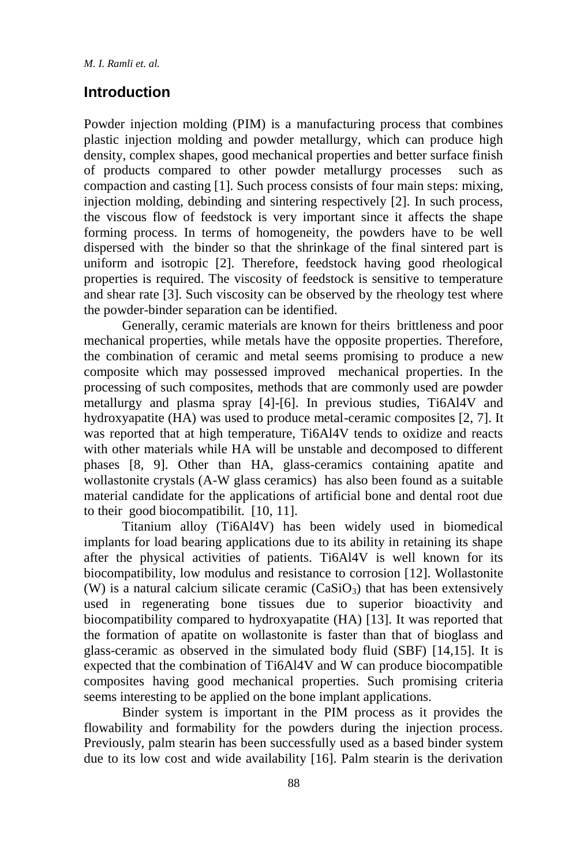### **Introduction**

Powder injection molding (PIM) is a manufacturing process that combines plastic injection molding and powder metallurgy, which can produce high density, complex shapes, good mechanical properties and better surface finish of products compared to other powder metallurgy processes such as compaction and casting [1]. Such process consists of four main steps: mixing, injection molding, debinding and sintering respectively [2]. In such process, the viscous flow of feedstock is very important since it affects the shape forming process. In terms of homogeneity, the powders have to be well dispersed with the binder so that the shrinkage of the final sintered part is uniform and isotropic [2]. Therefore, feedstock having good rheological properties is required. The viscosity of feedstock is sensitive to temperature and shear rate [3]. Such viscosity can be observed by the rheology test where the powder-binder separation can be identified.

Generally, ceramic materials are known for theirs brittleness and poor mechanical properties, while metals have the opposite properties. Therefore, the combination of ceramic and metal seems promising to produce a new composite which may possessed improved mechanical properties. In the processing of such composites, methods that are commonly used are powder metallurgy and plasma spray [4]-[6]. In previous studies, Ti6Al4V and hydroxyapatite (HA) was used to produce metal-ceramic composites [2, 7]. It was reported that at high temperature, Ti6Al4V tends to oxidize and reacts with other materials while HA will be unstable and decomposed to different phases [8, 9]. Other than HA, glass-ceramics containing apatite and wollastonite crystals (A-W glass ceramics) has also been found as a suitable material candidate for the applications of artificial bone and dental root due to their good biocompatibilit. [10, 11].

Titanium alloy (Ti6Al4V) has been widely used in biomedical implants for load bearing applications due to its ability in retaining its shape after the physical activities of patients. Ti6Al4V is well known for its biocompatibility, low modulus and resistance to corrosion [12]. Wollastonite (W) is a natural calcium silicate ceramic  $(CaSiO<sub>3</sub>)$  that has been extensively used in regenerating bone tissues due to superior bioactivity and biocompatibility compared to hydroxyapatite (HA) [13]. It was reported that the formation of apatite on wollastonite is faster than that of bioglass and glass-ceramic as observed in the simulated body fluid (SBF) [14,15]. It is expected that the combination of Ti6Al4V and W can produce biocompatible composites having good mechanical properties. Such promising criteria seems interesting to be applied on the bone implant applications.

Binder system is important in the PIM process as it provides the flowability and formability for the powders during the injection process. Previously, palm stearin has been successfully used as a based binder system due to its low cost and wide availability [16]. Palm stearin is the derivation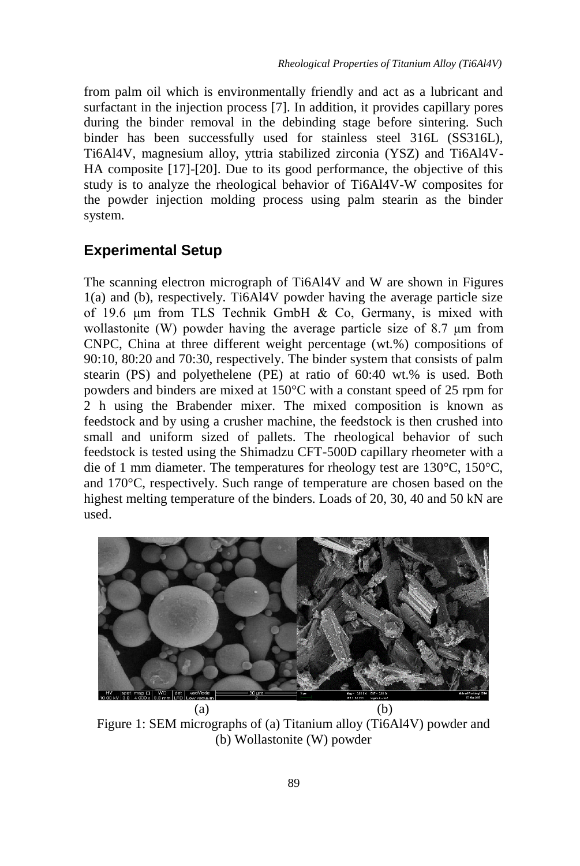from palm oil which is environmentally friendly and act as a lubricant and surfactant in the injection process [7]. In addition, it provides capillary pores during the binder removal in the debinding stage before sintering. Such binder has been successfully used for stainless steel 316L (SS316L), Ti6Al4V, magnesium alloy, yttria stabilized zirconia (YSZ) and Ti6Al4V-HA composite [17]-[20]. Due to its good performance, the objective of this study is to analyze the rheological behavior of Ti6Al4V-W composites for the powder injection molding process using palm stearin as the binder system.

## **Experimental Setup**

The scanning electron micrograph of Ti6Al4V and W are shown in Figures 1(a) and (b), respectively. Ti6Al4V powder having the average particle size of 19.6 μm from TLS Technik GmbH & Co, Germany, is mixed with wollastonite (W) powder having the average particle size of 8.7 μm from CNPC, China at three different weight percentage (wt.%) compositions of 90:10, 80:20 and 70:30, respectively. The binder system that consists of palm stearin (PS) and polyethelene (PE) at ratio of 60:40 wt.% is used. Both powders and binders are mixed at 150°C with a constant speed of 25 rpm for 2 h using the Brabender mixer. The mixed composition is known as feedstock and by using a crusher machine, the feedstock is then crushed into small and uniform sized of pallets. The rheological behavior of such feedstock is tested using the Shimadzu CFT-500D capillary rheometer with a die of 1 mm diameter. The temperatures for rheology test are 130°C, 150°C, and 170°C, respectively. Such range of temperature are chosen based on the highest melting temperature of the binders. Loads of 20, 30, 40 and 50 kN are used.



Figure 1: SEM micrographs of (a) Titanium alloy (Ti6Al4V) powder and (b) Wollastonite (W) powder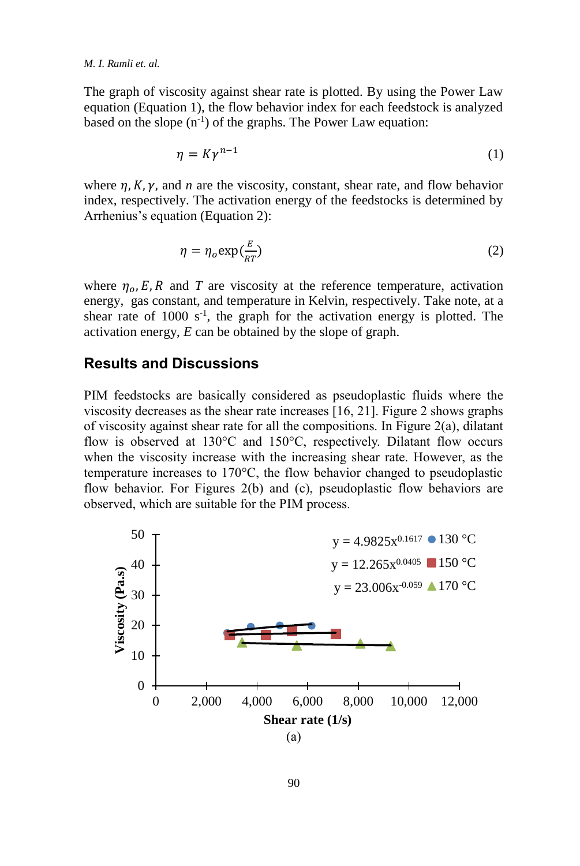The graph of viscosity against shear rate is plotted. By using the Power Law equation (Equation 1), the flow behavior index for each feedstock is analyzed based on the slope  $(n^{-1})$  of the graphs. The Power Law equation:

$$
\eta = K\gamma^{n-1} \tag{1}
$$

where  $\eta$ ,  $K$ ,  $\gamma$ , and *n* are the viscosity, constant, shear rate, and flow behavior index, respectively. The activation energy of the feedstocks is determined by Arrhenius's equation (Equation 2):

$$
\eta = \eta_o \exp(\frac{E}{RT})
$$
 (2)

where  $\eta_{\alpha} E$ , R and T are viscosity at the reference temperature, activation energy, gas constant, and temperature in Kelvin, respectively. Take note, at a shear rate of  $1000 \text{ s}^{-1}$ , the graph for the activation energy is plotted. The activation energy, *E* can be obtained by the slope of graph.

#### **Results and Discussions**

PIM feedstocks are basically considered as pseudoplastic fluids where the viscosity decreases as the shear rate increases [16, 21]. Figure 2 shows graphs of viscosity against shear rate for all the compositions. In Figure 2(a), dilatant flow is observed at 130°C and 150°C, respectively. Dilatant flow occurs when the viscosity increase with the increasing shear rate. However, as the temperature increases to 170°C, the flow behavior changed to pseudoplastic flow behavior. For Figures 2(b) and (c), pseudoplastic flow behaviors are observed, which are suitable for the PIM process.

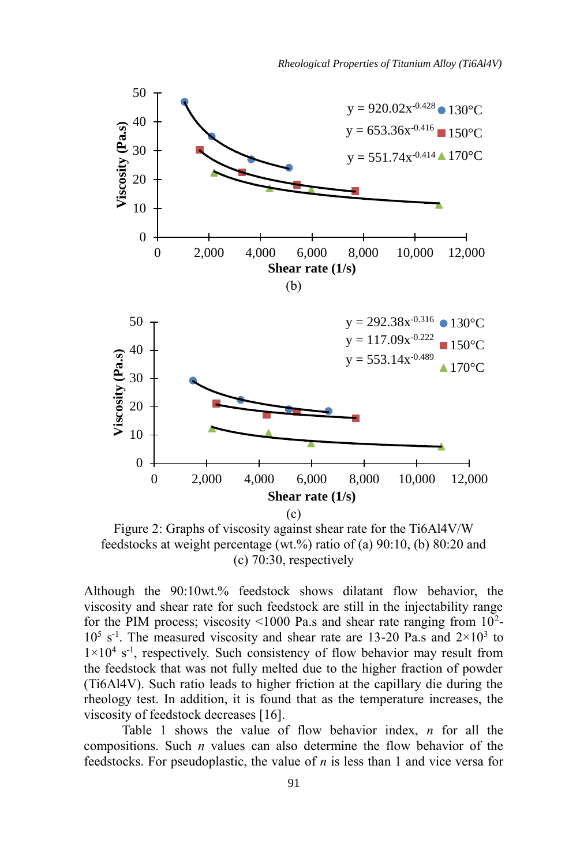

Figure 2: Graphs of viscosity against shear rate for the Ti6Al4V/W feedstocks at weight percentage (wt.%) ratio of (a) 90:10, (b) 80:20 and (c) 70:30, respectively

Although the 90:10wt.% feedstock shows dilatant flow behavior, the viscosity and shear rate for such feedstock are still in the injectability range for the PIM process; viscosity <1000 Pa.s and shear rate ranging from  $10^2$ - $10^5$  s<sup>-1</sup>. The measured viscosity and shear rate are 13-20 Pa.s and  $2 \times 10^3$  to  $1 \times 10^4$  s<sup>-1</sup>, respectively. Such consistency of flow behavior may result from the feedstock that was not fully melted due to the higher fraction of powder (Ti6Al4V). Such ratio leads to higher friction at the capillary die during the rheology test. In addition, it is found that as the temperature increases, the viscosity of feedstock decreases [16].

Table 1 shows the value of flow behavior index, *n* for all the compositions. Such *n* values can also determine the flow behavior of the feedstocks. For pseudoplastic, the value of *n* is less than 1 and vice versa for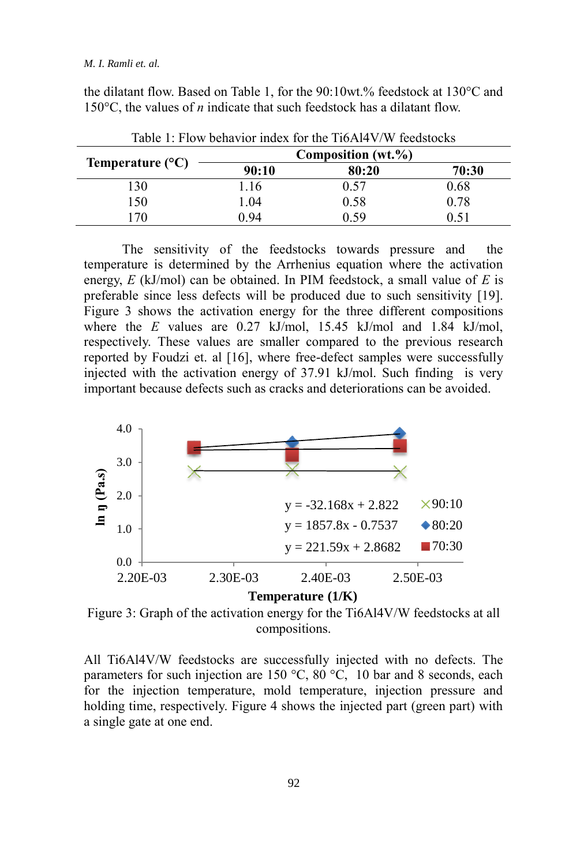#### *M. I. Ramli et. al.*

the dilatant flow. Based on Table 1, for the 90:10wt.% feedstock at 130°C and 150°C, the values of *n* indicate that such feedstock has a dilatant flow.

| Temperature $(^{\circ}C)$ | Composition (wt.%) |       |       |
|---------------------------|--------------------|-------|-------|
|                           | 90:10              | 80:20 | 70:30 |
| 130                       | .16                | 0.57  | 0.68  |
| 150                       | .04                | 0.58  | 0.78  |
| 70                        | 0 94               | 0.59  |       |

Table 1: Flow behavior index for the Ti6Al4V/W feedstocks

The sensitivity of the feedstocks towards pressure and the temperature is determined by the Arrhenius equation where the activation energy, *E* (kJ/mol) can be obtained. In PIM feedstock, a small value of *E* is preferable since less defects will be produced due to such sensitivity [19]. Figure 3 shows the activation energy for the three different compositions where the *E* values are 0.27 kJ/mol, 15.45 kJ/mol and 1.84 kJ/mol, respectively. These values are smaller compared to the previous research reported by Foudzi et. al [16], where free-defect samples were successfully injected with the activation energy of 37.91 kJ/mol. Such finding is very important because defects such as cracks and deteriorations can be avoided.



Figure 3: Graph of the activation energy for the Ti6Al4V/W feedstocks at all compositions.

All Ti6Al4V/W feedstocks are successfully injected with no defects. The parameters for such injection are 150 °C, 80 °C, 10 bar and 8 seconds, each for the injection temperature, mold temperature, injection pressure and holding time, respectively. Figure 4 shows the injected part (green part) with a single gate at one end.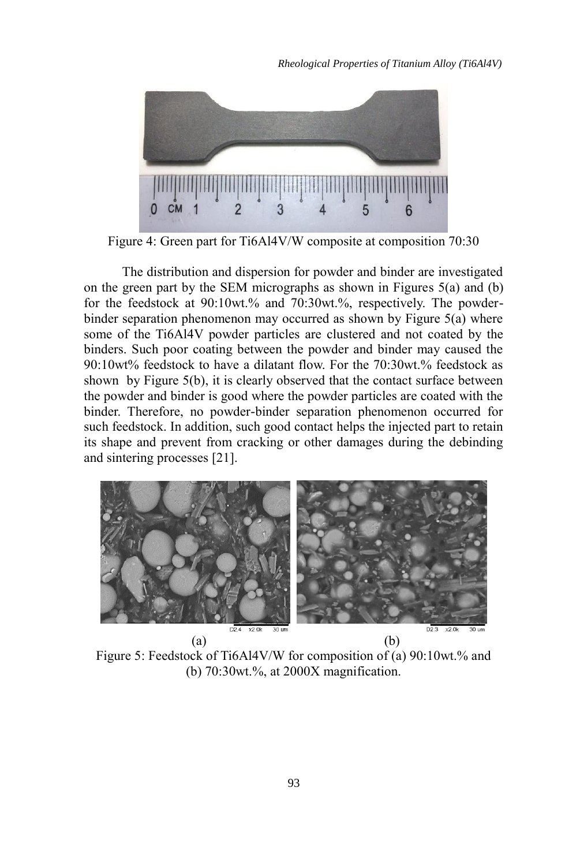

Figure 4: Green part for Ti6Al4V/W composite at composition 70:30

The distribution and dispersion for powder and binder are investigated on the green part by the SEM micrographs as shown in Figures 5(a) and (b) for the feedstock at 90:10wt.% and 70:30wt.%, respectively. The powderbinder separation phenomenon may occurred as shown by Figure 5(a) where some of the Ti6Al4V powder particles are clustered and not coated by the binders. Such poor coating between the powder and binder may caused the 90:10wt% feedstock to have a dilatant flow. For the 70:30wt.% feedstock as shown by Figure 5(b), it is clearly observed that the contact surface between the powder and binder is good where the powder particles are coated with the binder. Therefore, no powder-binder separation phenomenon occurred for such feedstock. In addition, such good contact helps the injected part to retain its shape and prevent from cracking or other damages during the debinding and sintering processes [21].



Figure 5: Feedstock of Ti6Al4V/W for composition of (a) 90:10wt.% and (b) 70:30wt.%, at 2000X magnification.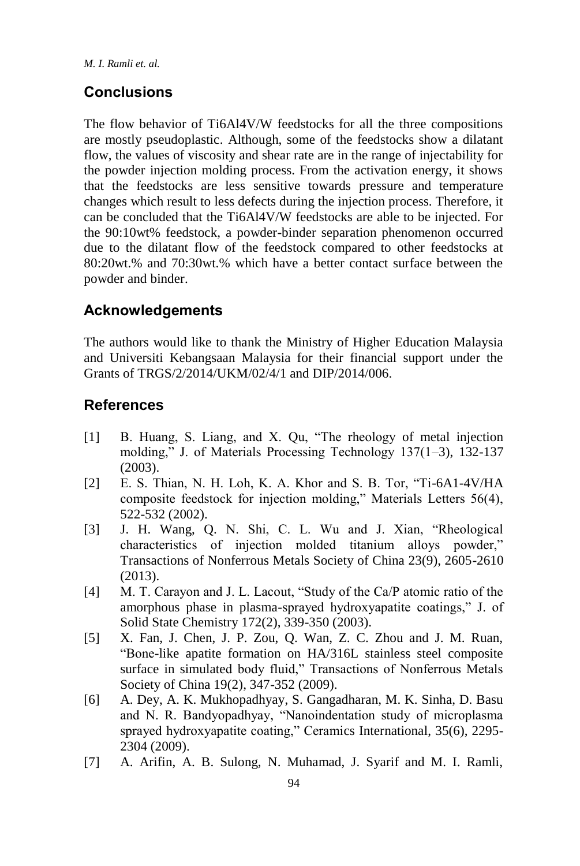## **Conclusions**

The flow behavior of Ti6Al4V/W feedstocks for all the three compositions are mostly pseudoplastic. Although, some of the feedstocks show a dilatant flow, the values of viscosity and shear rate are in the range of injectability for the powder injection molding process. From the activation energy, it shows that the feedstocks are less sensitive towards pressure and temperature changes which result to less defects during the injection process. Therefore, it can be concluded that the Ti6Al4V/W feedstocks are able to be injected. For the 90:10wt% feedstock, a powder-binder separation phenomenon occurred due to the dilatant flow of the feedstock compared to other feedstocks at 80:20wt.% and 70:30wt.% which have a better contact surface between the powder and binder.

## **Acknowledgements**

The authors would like to thank the Ministry of Higher Education Malaysia and Universiti Kebangsaan Malaysia for their financial support under the Grants of TRGS/2/2014/UKM/02/4/1 and DIP/2014/006.

### **References**

- [1] B. Huang, S. Liang, and X. Qu, "The rheology of metal injection molding," J. of Materials Processing Technology 137(1–3), 132-137 (2003).
- [2] E. S. Thian, N. H. Loh, K. A. Khor and S. B. Tor, "Ti-6A1-4V/HA composite feedstock for injection molding," Materials Letters 56(4), 522-532 (2002).
- [3] J. H. Wang, Q. N. Shi, C. L. Wu and J. Xian, "Rheological characteristics of injection molded titanium alloys powder," Transactions of Nonferrous Metals Society of China 23(9), 2605-2610 (2013).
- [4] M. T. Carayon and J. L. Lacout, "Study of the Ca/P atomic ratio of the amorphous phase in plasma-sprayed hydroxyapatite coatings," J. of Solid State Chemistry 172(2), 339-350 (2003).
- [5] X. Fan, J. Chen, J. P. Zou, Q. Wan, Z. C. Zhou and J. M. Ruan, "Bone-like apatite formation on HA/316L stainless steel composite surface in simulated body fluid," Transactions of Nonferrous Metals Society of China 19(2), 347-352 (2009).
- [6] A. Dey, A. K. Mukhopadhyay, S. Gangadharan, M. K. Sinha, D. Basu and N. R. Bandyopadhyay, "Nanoindentation study of microplasma sprayed hydroxyapatite coating," Ceramics International, 35(6), 2295- 2304 (2009).
- [7] A. Arifin, A. B. Sulong, N. Muhamad, J. Syarif and M. I. Ramli,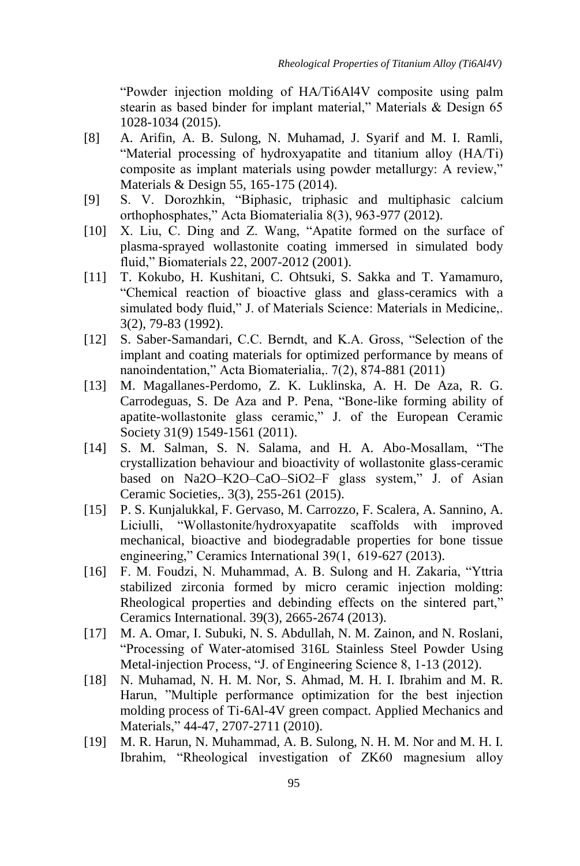"Powder injection molding of HA/Ti6Al4V composite using palm stearin as based binder for implant material," Materials & Design 65 1028-1034 (2015).

- [8] A. Arifin, A. B. Sulong, N. Muhamad, J. Syarif and M. I. Ramli, "Material processing of hydroxyapatite and titanium alloy (HA/Ti) composite as implant materials using powder metallurgy: A review," Materials & Design 55, 165-175 (2014).
- [9] S. V. Dorozhkin, "Biphasic, triphasic and multiphasic calcium orthophosphates," Acta Biomaterialia 8(3), 963-977 (2012).
- [10] X. Liu, C. Ding and Z. Wang, "Apatite formed on the surface of plasma-sprayed wollastonite coating immersed in simulated body fluid," Biomaterials 22, 2007-2012 (2001).
- [11] T. Kokubo, H. Kushitani, C. Ohtsuki, S. Sakka and T. Yamamuro, "Chemical reaction of bioactive glass and glass-ceramics with a simulated body fluid," J. of Materials Science: Materials in Medicine,. 3(2), 79-83 (1992).
- [12] S. Saber-Samandari, C.C. Berndt, and K.A. Gross, "Selection of the implant and coating materials for optimized performance by means of nanoindentation," Acta Biomaterialia,. 7(2), 874-881 (2011)
- [13] M. Magallanes-Perdomo, Z. K. Luklinska, A. H. De Aza, R. G. Carrodeguas, S. De Aza and P. Pena, "Bone-like forming ability of apatite-wollastonite glass ceramic," J. of the European Ceramic Society 31(9) 1549-1561 (2011).
- [14] S. M. Salman, S. N. Salama, and H. A. Abo-Mosallam, "The crystallization behaviour and bioactivity of wollastonite glass-ceramic based on Na2O–K2O–CaO–SiO2–F glass system," J. of Asian Ceramic Societies,. 3(3), 255-261 (2015).
- [15] P. S. Kunjalukkal, F. Gervaso, M. Carrozzo, F. Scalera, A. Sannino, A. Liciulli, "Wollastonite/hydroxyapatite scaffolds with improved mechanical, bioactive and biodegradable properties for bone tissue engineering," Ceramics International 39(1, 619-627 (2013).
- [16] F. M. Foudzi, N. Muhammad, A. B. Sulong and H. Zakaria, "Yttria stabilized zirconia formed by micro ceramic injection molding: Rheological properties and debinding effects on the sintered part," Ceramics International. 39(3), 2665-2674 (2013).
- [17] M. A. Omar, I. Subuki, N. S. Abdullah, N. M. Zainon, and N. Roslani, "Processing of Water-atomised 316L Stainless Steel Powder Using Metal-injection Process, "J. of Engineering Science 8, 1-13 (2012).
- [18] N. Muhamad, N. H. M. Nor, S. Ahmad, M. H. I. Ibrahim and M. R. Harun, "Multiple performance optimization for the best injection molding process of Ti-6Al-4V green compact. Applied Mechanics and Materials," 44-47, 2707-2711 (2010).
- [19] M. R. Harun, N. Muhammad, A. B. Sulong, N. H. M. Nor and M. H. I. Ibrahim, "Rheological investigation of ZK60 magnesium alloy